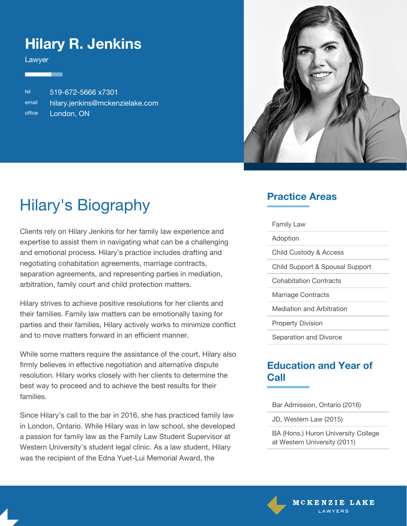### **Hilary R. Jenkins**

Lawyer

tel 519-672-5666 x7301 email [hilary.jenkins@mckenzielake.com](#page--1-0) office London, ON



# Hilary's Biography

Clients rely on Hilary Jenkins for her family law experience and expertise to assist them in navigating what can be a challenging and emotional process. Hilary's practice includes drafting and negotiating cohabitation agreements, marriage contracts, separation agreements, and representing parties in mediation, arbitration, family court and child protection matters.

Hilary strives to achieve positive resolutions for her clients and their families. Family law matters can be emotionally taxing for parties and their families, Hilary actively works to minimize conflict and to move matters forward in an efficient manner.

While some matters require the assistance of the court, Hilary also firmly believes in effective negotiation and alternative dispute resolution. Hilary works closely with her clients to determine the best way to proceed and to achieve the best results for their families.

Since Hilary's call to the bar in 2016, she has practiced family law in London, Ontario. While Hilary was in law school, she developed a passion for family law as the Family Law Student Supervisor at Western University's student legal clinic. As a law student, Hilary was the recipient of the Edna Yuet-Lui Memorial Award, the

#### **Practice Areas**

| <b>Family Law</b>               |
|---------------------------------|
| Adoption                        |
| Child Custody & Access          |
| Child Support & Spousal Support |
| <b>Cohabitation Contracts</b>   |
| Marriage Contracts              |
| Mediation and Arbitration       |
| <b>Property Division</b>        |
| Separation and Divorce          |

#### **Education and Year of Call**

Bar Admission, Ontario (2016)

JD, Western Law (2015)

BA (Hons.) Huron University College at Western University (2011)

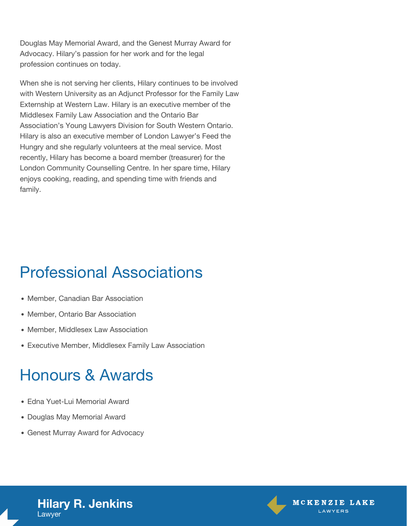Douglas May Memorial Award, and the Genest Murray Award for Advocacy. Hilary's passion for her work and for the legal profession continues on today.

When she is not serving her clients, Hilary continues to be involved with Western University as an Adjunct Professor for the Family Law Externship at Western Law. Hilary is an executive member of the Middlesex Family Law Association and the Ontario Bar Association's Young Lawyers Division for South Western Ontario. Hilary is also an executive member of London Lawyer's Feed the Hungry and she regularly volunteers at the meal service. Most recently, Hilary has become a board member (treasurer) for the London Community Counselling Centre. In her spare time, Hilary enjoys cooking, reading, and spending time with friends and family.

### Professional Associations

- Member, Canadian Bar Association
- Member, Ontario Bar Association
- Member, Middlesex Law Association
- Executive Member, Middlesex Family Law Association

### Honours & Awards

- Edna Yuet-Lui Memorial Award
- Douglas May Memorial Award
- Genest Murray Award for Advocacy





**Hilary R. Jenkins** Lawyer